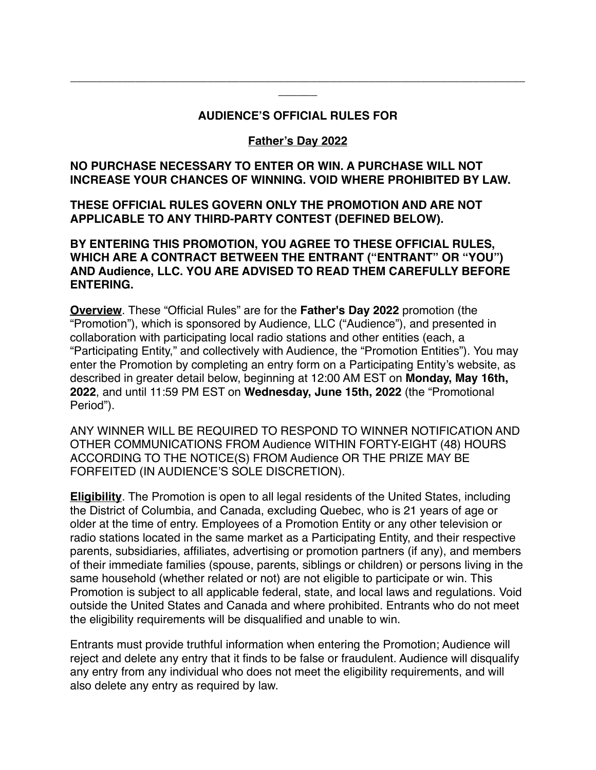### **AUDIENCE'S OFFICIAL RULES FOR**

**\_\_\_\_\_\_\_\_\_\_\_\_\_\_\_\_\_\_\_\_\_\_\_\_\_\_\_\_\_\_\_\_\_\_\_\_\_\_\_\_\_\_\_\_\_\_\_\_\_\_\_\_\_\_\_\_\_\_\_\_\_\_\_\_\_\_\_\_\_\_ \_\_\_\_\_\_**

### **Father's Day 2022**

### **NO PURCHASE NECESSARY TO ENTER OR WIN. A PURCHASE WILL NOT INCREASE YOUR CHANCES OF WINNING. VOID WHERE PROHIBITED BY LAW.**

**THESE OFFICIAL RULES GOVERN ONLY THE PROMOTION AND ARE NOT APPLICABLE TO ANY THIRD-PARTY CONTEST (DEFINED BELOW).**

**BY ENTERING THIS PROMOTION, YOU AGREE TO THESE OFFICIAL RULES, WHICH ARE A CONTRACT BETWEEN THE ENTRANT ("ENTRANT" OR "YOU") AND Audience, LLC. YOU ARE ADVISED TO READ THEM CAREFULLY BEFORE ENTERING.**

**Overview**. These "Official Rules" are for the **Father's Day 2022** promotion (the "Promotion"), which is sponsored by Audience, LLC ("Audience"), and presented in collaboration with participating local radio stations and other entities (each, a "Participating Entity," and collectively with Audience, the "Promotion Entities"). You may enter the Promotion by completing an entry form on a Participating Entity's website, as described in greater detail below, beginning at 12:00 AM EST on **Monday, May 16th, 2022**, and until 11:59 PM EST on **Wednesday, June 15th, 2022** (the "Promotional Period").

ANY WINNER WILL BE REQUIRED TO RESPOND TO WINNER NOTIFICATION AND OTHER COMMUNICATIONS FROM Audience WITHIN FORTY-EIGHT (48) HOURS ACCORDING TO THE NOTICE(S) FROM Audience OR THE PRIZE MAY BE FORFEITED (IN AUDIENCE'S SOLE DISCRETION).

**Eligibility**. The Promotion is open to all legal residents of the United States, including the District of Columbia, and Canada, excluding Quebec, who is 21 years of age or older at the time of entry. Employees of a Promotion Entity or any other television or radio stations located in the same market as a Participating Entity, and their respective parents, subsidiaries, affiliates, advertising or promotion partners (if any), and members of their immediate families (spouse, parents, siblings or children) or persons living in the same household (whether related or not) are not eligible to participate or win. This Promotion is subject to all applicable federal, state, and local laws and regulations. Void outside the United States and Canada and where prohibited. Entrants who do not meet the eligibility requirements will be disqualified and unable to win.

Entrants must provide truthful information when entering the Promotion; Audience will reject and delete any entry that it finds to be false or fraudulent. Audience will disqualify any entry from any individual who does not meet the eligibility requirements, and will also delete any entry as required by law.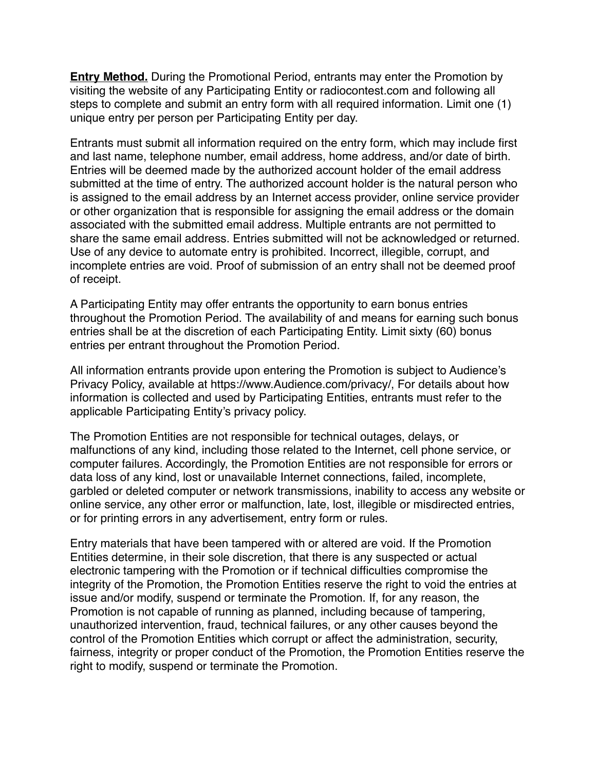**Entry Method.** During the Promotional Period, entrants may enter the Promotion by visiting the website of any Participating Entity or radiocontest.com and following all steps to complete and submit an entry form with all required information. Limit one (1) unique entry per person per Participating Entity per day.

Entrants must submit all information required on the entry form, which may include first and last name, telephone number, email address, home address, and/or date of birth. Entries will be deemed made by the authorized account holder of the email address submitted at the time of entry. The authorized account holder is the natural person who is assigned to the email address by an Internet access provider, online service provider or other organization that is responsible for assigning the email address or the domain associated with the submitted email address. Multiple entrants are not permitted to share the same email address. Entries submitted will not be acknowledged or returned. Use of any device to automate entry is prohibited. Incorrect, illegible, corrupt, and incomplete entries are void. Proof of submission of an entry shall not be deemed proof of receipt.

A Participating Entity may offer entrants the opportunity to earn bonus entries throughout the Promotion Period. The availability of and means for earning such bonus entries shall be at the discretion of each Participating Entity. Limit sixty (60) bonus entries per entrant throughout the Promotion Period.

All information entrants provide upon entering the Promotion is subject to Audience's Privacy Policy, available at https://www.Audience.com/privacy/, For details about how information is collected and used by Participating Entities, entrants must refer to the applicable Participating Entity's privacy policy.

The Promotion Entities are not responsible for technical outages, delays, or malfunctions of any kind, including those related to the Internet, cell phone service, or computer failures. Accordingly, the Promotion Entities are not responsible for errors or data loss of any kind, lost or unavailable Internet connections, failed, incomplete, garbled or deleted computer or network transmissions, inability to access any website or online service, any other error or malfunction, late, lost, illegible or misdirected entries, or for printing errors in any advertisement, entry form or rules.

Entry materials that have been tampered with or altered are void. If the Promotion Entities determine, in their sole discretion, that there is any suspected or actual electronic tampering with the Promotion or if technical difficulties compromise the integrity of the Promotion, the Promotion Entities reserve the right to void the entries at issue and/or modify, suspend or terminate the Promotion. If, for any reason, the Promotion is not capable of running as planned, including because of tampering, unauthorized intervention, fraud, technical failures, or any other causes beyond the control of the Promotion Entities which corrupt or affect the administration, security, fairness, integrity or proper conduct of the Promotion, the Promotion Entities reserve the right to modify, suspend or terminate the Promotion.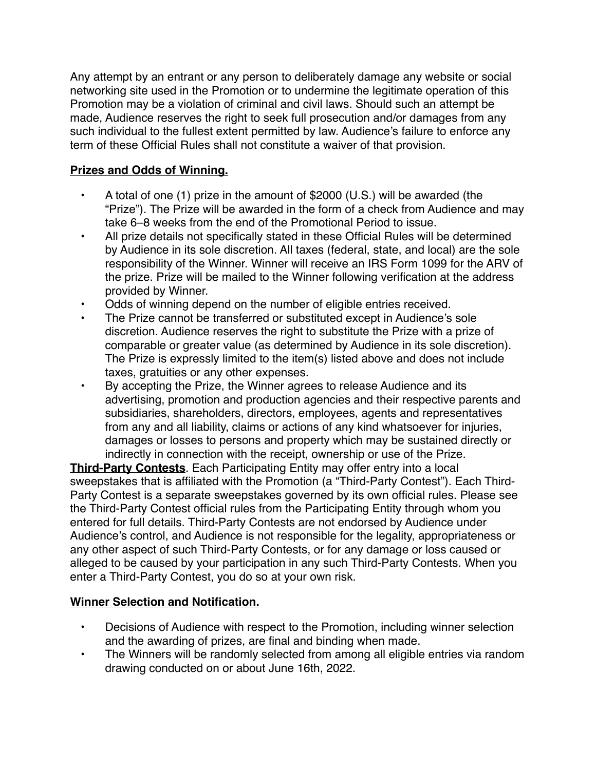Any attempt by an entrant or any person to deliberately damage any website or social networking site used in the Promotion or to undermine the legitimate operation of this Promotion may be a violation of criminal and civil laws. Should such an attempt be made, Audience reserves the right to seek full prosecution and/or damages from any such individual to the fullest extent permitted by law. Audience's failure to enforce any term of these Official Rules shall not constitute a waiver of that provision.

# **Prizes and Odds of Winning.**

- A total of one (1) prize in the amount of \$2000 (U.S.) will be awarded (the "Prize"). The Prize will be awarded in the form of a check from Audience and may take 6–8 weeks from the end of the Promotional Period to issue.
- All prize details not specifically stated in these Official Rules will be determined by Audience in its sole discretion. All taxes (federal, state, and local) are the sole responsibility of the Winner. Winner will receive an IRS Form 1099 for the ARV of the prize. Prize will be mailed to the Winner following verification at the address provided by Winner.
- Odds of winning depend on the number of eligible entries received.
- The Prize cannot be transferred or substituted except in Audience's sole discretion. Audience reserves the right to substitute the Prize with a prize of comparable or greater value (as determined by Audience in its sole discretion). The Prize is expressly limited to the item(s) listed above and does not include taxes, gratuities or any other expenses.
- By accepting the Prize, the Winner agrees to release Audience and its advertising, promotion and production agencies and their respective parents and subsidiaries, shareholders, directors, employees, agents and representatives from any and all liability, claims or actions of any kind whatsoever for injuries, damages or losses to persons and property which may be sustained directly or indirectly in connection with the receipt, ownership or use of the Prize.

**Third-Party Contests**. Each Participating Entity may offer entry into a local sweepstakes that is affiliated with the Promotion (a "Third-Party Contest"). Each Third-Party Contest is a separate sweepstakes governed by its own official rules. Please see the Third-Party Contest official rules from the Participating Entity through whom you entered for full details. Third-Party Contests are not endorsed by Audience under Audience's control, and Audience is not responsible for the legality, appropriateness or any other aspect of such Third-Party Contests, or for any damage or loss caused or alleged to be caused by your participation in any such Third-Party Contests. When you enter a Third-Party Contest, you do so at your own risk.

### **Winner Selection and Notification.**

- Decisions of Audience with respect to the Promotion, including winner selection and the awarding of prizes, are final and binding when made.
- The Winners will be randomly selected from among all eligible entries via random drawing conducted on or about June 16th, 2022.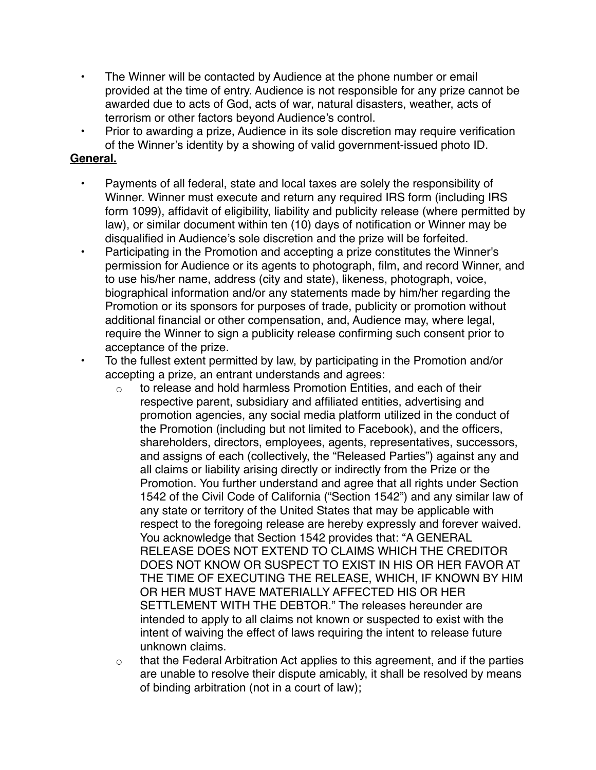- The Winner will be contacted by Audience at the phone number or email provided at the time of entry. Audience is not responsible for any prize cannot be awarded due to acts of God, acts of war, natural disasters, weather, acts of terrorism or other factors beyond Audience's control.
- Prior to awarding a prize, Audience in its sole discretion may require verification of the Winner's identity by a showing of valid government-issued photo ID.

## **General.**

- Payments of all federal, state and local taxes are solely the responsibility of Winner. Winner must execute and return any required IRS form (including IRS form 1099), affidavit of eligibility, liability and publicity release (where permitted by law), or similar document within ten (10) days of notification or Winner may be disqualified in Audience's sole discretion and the prize will be forfeited.
- Participating in the Promotion and accepting a prize constitutes the Winner's permission for Audience or its agents to photograph, film, and record Winner, and to use his/her name, address (city and state), likeness, photograph, voice, biographical information and/or any statements made by him/her regarding the Promotion or its sponsors for purposes of trade, publicity or promotion without additional financial or other compensation, and, Audience may, where legal, require the Winner to sign a publicity release confirming such consent prior to acceptance of the prize.
- To the fullest extent permitted by law, by participating in the Promotion and/or accepting a prize, an entrant understands and agrees:
	- $\circ$  to release and hold harmless Promotion Entities, and each of their respective parent, subsidiary and affiliated entities, advertising and promotion agencies, any social media platform utilized in the conduct of the Promotion (including but not limited to Facebook), and the officers, shareholders, directors, employees, agents, representatives, successors, and assigns of each (collectively, the "Released Parties") against any and all claims or liability arising directly or indirectly from the Prize or the Promotion. You further understand and agree that all rights under Section 1542 of the Civil Code of California ("Section 1542") and any similar law of any state or territory of the United States that may be applicable with respect to the foregoing release are hereby expressly and forever waived. You acknowledge that Section 1542 provides that: "A GENERAL RELEASE DOES NOT EXTEND TO CLAIMS WHICH THE CREDITOR DOES NOT KNOW OR SUSPECT TO EXIST IN HIS OR HER FAVOR AT THE TIME OF EXECUTING THE RELEASE, WHICH, IF KNOWN BY HIM OR HER MUST HAVE MATERIALLY AFFECTED HIS OR HER SETTLEMENT WITH THE DEBTOR." The releases hereunder are intended to apply to all claims not known or suspected to exist with the intent of waiving the effect of laws requiring the intent to release future unknown claims.
	- $\circ$  that the Federal Arbitration Act applies to this agreement, and if the parties are unable to resolve their dispute amicably, it shall be resolved by means of binding arbitration (not in a court of law);